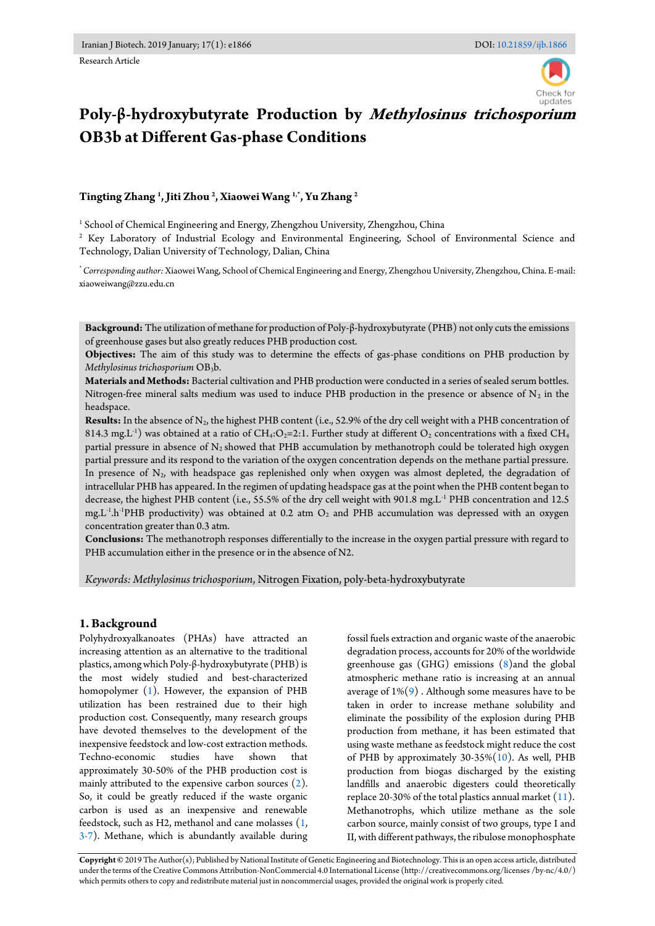

# **Poly-β-hydroxybutyrate Production by Methylosinus trichosporium OB3b at Different Gas-phase Conditions**

**Tingting Zhang <sup>1</sup> , Jiti Zhou <sup>2</sup> , Xiaowei Wang 1,\*, Yu Zhang <sup>2</sup>**

 $^{\rm 1}$  School of Chemical Engineering and Energy, Zhengzhou University, Zhengzhou, China

<sup>2</sup> Key Laboratory of Industrial Ecology and Environmental Engineering, School of Environmental Science and Technology, Dalian University of Technology, Dalian, China

*\* Corresponding author:* Xiaowei Wang, School of Chemical Engineering and Energy, Zhengzhou University, Zhengzhou, China. E-mail: xiaoweiwang@zzu.edu.cn

**Background:** The utilization of methane for production of Poly-β-hydroxybutyrate (PHB) not only cuts the emissions of greenhouse gases but also greatly reduces PHB production cost.

**Objectives:** The aim of this study was to determine the effects of gas-phase conditions on PHB production by *Methylosinus trichosporium* OB3b.

**Materials and Methods:** Bacterial cultivation and PHB production were conducted in a series of sealed serum bottles. Nitrogen-free mineral salts medium was used to induce PHB production in the presence or absence of  $N_2$  in the headspace.

**Results:** In the absence of N2, the highest PHB content (i.e., 52.9% of the dry cell weight with a PHB concentration of 814.3 mg.L<sup>-1</sup>) was obtained at a ratio of CH4:O2=2:1. Further study at different O2 concentrations with a fixed CH4 partial pressure in absence of  $N_2$  showed that PHB accumulation by methanotroph could be tolerated high oxygen partial pressure and its respond to the variation of the oxygen concentration depends on the methane partial pressure. In presence of  $N_2$ , with headspace gas replenished only when oxygen was almost depleted, the degradation of intracellular PHB has appeared. In the regimen of updating headspace gas at the point when the PHB content began to decrease, the highest PHB content (i.e., 55.5% of the dry cell weight with 901.8 mg.L-1 PHB concentration and 12.5 mg.L<sup>-1</sup>.h<sup>-1</sup>PHB productivity) was obtained at 0.2 atm O<sub>2</sub> and PHB accumulation was depressed with an oxygen concentration greater than 0.3 atm.

**Conclusions:** The methanotroph responses differentially to the increase in the oxygen partial pressure with regard to PHB accumulation either in the presence or in the absence of N2.

*Keywords: Methylosinus trichosporium*, Nitrogen Fixation, poly-beta-hydroxybutyrate

# **1. Background**

Polyhydroxyalkanoates (PHAs) have attracted an increasing attention as an alternative to the traditional plastics, among which Poly-β-hydroxybutyrate (PHB) is the most widely studied and best-characterized homopolymer [\(1\)](#page-6-0). However, the expansion of PHB utilization has been restrained due to their high production cost. Consequently, many research groups have devoted themselves to the development of the inexpensive feedstock and low-cost extraction methods. Techno-economic studies have shown that approximately 30-50% of the PHB production cost is mainly attributed to the expensive carbon sources [\(2\)](#page-6-1). So, it could be greatly reduced if the waste organic carbon is used as an inexpensive and renewable feedstock, such as H2, methanol and cane molasses [\(1,](#page-6-0)  [3-7\)](#page-6-2). Methane, which is abundantly available during fossil fuels extraction and organic waste of the anaerobic degradation process, accounts for 20% of the worldwide greenhouse gas (GHG) emissions [\(8\)](#page-7-0)and the global atmospheric methane ratio is increasing at an annual average of  $1\%(9)$  $1\%(9)$ . Although some measures have to be taken in order to increase methane solubility and eliminate the possibility of the explosion during PHB production from methane, it has been estimated that using waste methane as feedstock might reduce the cost of PHB by approximately  $30-35\%(10)$  $30-35\%(10)$ . As well, PHB production from biogas discharged by the existing landfills and anaerobic digesters could theoretically replace 20-30% of the total plastics annual market  $(11)$ . Methanotrophs, which utilize methane as the sole carbon source, mainly consist of two groups, type I and II, with different pathways, the ribulose monophosphate

**Copyright ©** 2019 The Author(s); Published by National Institute of Genetic Engineering and Biotechnology. This is an open access article, distributed under the terms of the Creative Commons Attribution-NonCommercial 4.0 International License (http://creativecommons.org/licenses /by-nc/4.0/) which permits others to copy and redistribute material just in noncommercial usages, provided the original work is properly cited.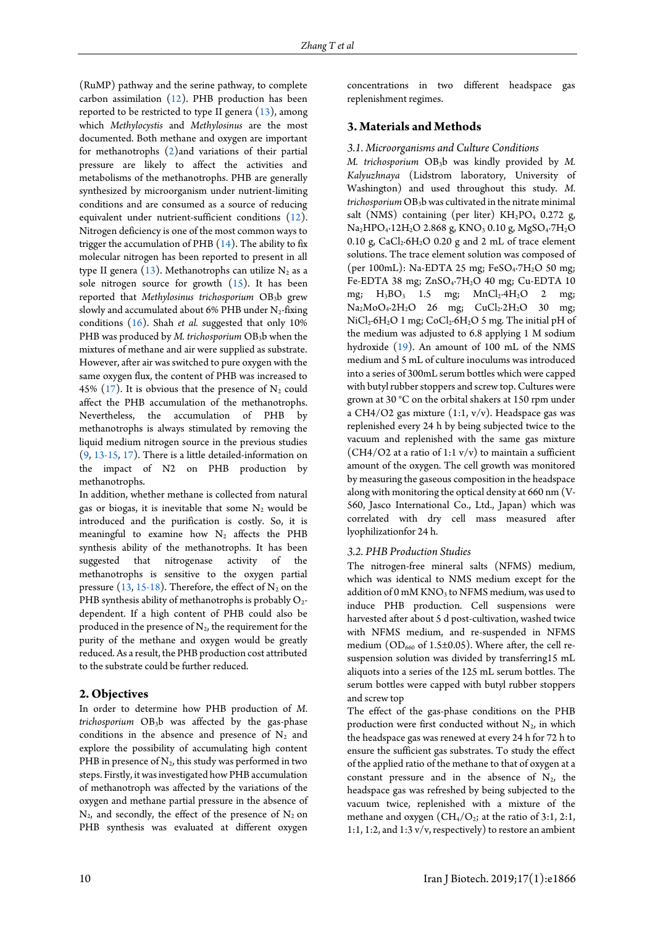(RuMP) pathway and the serine pathway, to complete carbon assimilation [\(12\)](#page-7-4). PHB production has been reported to be restricted to type II genera [\(13\)](#page-7-5), among which *Methylocystis* and *Methylosinus* are the most documented. Both methane and oxygen are important for methanotrophs [\(2\)](#page-6-1)and variations of their partial pressure are likely to affect the activities and metabolisms of the methanotrophs. PHB are generally synthesized by microorganism under nutrient-limiting conditions and are consumed as a source of reducing equivalent under nutrient-sufficient conditions [\(12\)](#page-7-4). Nitrogen deficiency is one of the most common ways to trigger the accumulation of PHB  $(14)$ . The ability to fix molecular nitrogen has been reported to present in all type II genera  $(13)$ . Methanotrophs can utilize N<sub>2</sub> as a sole nitrogen source for growth [\(15\)](#page-7-7). It has been reported that *Methylosinus trichosporium* OB3b grew slowly and accumulated about 6% PHB under  $N_2$ -fixing conditions [\(16\)](#page-7-8). Shah *et al.* suggested that only 10% PHB was produced by *M. trichosporium* OB<sub>3</sub>b when the mixtures of methane and air were supplied as substrate. However, after air was switched to pure oxygen with the same oxygen flux, the content of PHB was increased to 45% [\(17\)](#page-7-9). It is obvious that the presence of  $N_2$  could affect the PHB accumulation of the methanotrophs. Nevertheless, the accumulation of PHB by methanotrophs is always stimulated by removing the liquid medium nitrogen source in the previous studies [\(9,](#page-7-1) [13-15,](#page-7-5) [17\)](#page-7-9). There is a little detailed-information on the impact of N2 on PHB production by methanotrophs.

In addition, whether methane is collected from natural gas or biogas, it is inevitable that some  $N_2$  would be introduced and the purification is costly. So, it is meaningful to examine how  $N_2$  affects the PHB synthesis ability of the methanotrophs. It has been suggested that nitrogenase activity of the methanotrophs is sensitive to the oxygen partial pressure [\(13,](#page-7-5) [15-18\)](#page-7-7). Therefore, the effect of  $N_2$  on the PHB synthesis ability of methanotrophs is probably  $O_2$ dependent. If a high content of PHB could also be produced in the presence of  $N_2$ , the requirement for the purity of the methane and oxygen would be greatly reduced. As a result, the PHB production cost attributed to the substrate could be further reduced.

### **2. Objectives**

In order to determine how PHB production of *M. trichosporium* OB3b was affected by the gas-phase conditions in the absence and presence of  $N_2$  and explore the possibility of accumulating high content PHB in presence of  $N_2$ , this study was performed in two steps. Firstly, it was investigated how PHB accumulation of methanotroph was affected by the variations of the oxygen and methane partial pressure in the absence of  $N_2$ , and secondly, the effect of the presence of  $N_2$  on PHB synthesis was evaluated at different oxygen

concentrations in two different headspace gas replenishment regimes.

#### **3. Materials and Methods**

#### *3.1. Microorganisms and Culture Conditions*

*M. trichosporium* OB3b was kindly provided by *M. Kalyuzhnaya* (Lidstrom laboratory, University of Washington) and used throughout this study. *M. trichosporium* OB3b was cultivated in the nitrate minimal salt (NMS) containing (per liter)  $KH_2PO_4$  0.272 g, Na<sub>2</sub>HPO<sub>4</sub>·12H<sub>2</sub>O 2.868 g, KNO<sub>3</sub> 0.10 g, MgSO<sub>4</sub>·7H<sub>2</sub>O 0.10 g,  $CaCl<sub>2</sub>·6H<sub>2</sub>O$  0.20 g and 2 mL of trace element solutions. The trace element solution was composed of (per 100mL): Na-EDTA 25 mg; FeSO<sub>4</sub>-7H<sub>2</sub>O 50 mg; Fe-EDTA 38 mg; ZnSO<sub>4</sub>·7H<sub>2</sub>O 40 mg; Cu-EDTA 10 mg;  $H_3BO_3$  1.5 mg;  $MnCl_2.4H_2O$  2 mg;  $Na<sub>2</sub>MoO<sub>4</sub>·2H<sub>2</sub>O$  26 mg;  $CuCl<sub>2</sub>·2H<sub>2</sub>O$  30 mg; NiCl<sub>2</sub>·6H<sub>2</sub>O 1 mg; CoCl<sub>2</sub>·6H<sub>2</sub>O 5 mg. The initial pH of the medium was adjusted to 6.8 applying 1 M sodium hydroxide [\(19\)](#page-7-10). An amount of 100 mL of the NMS medium and 5 mL of culture inoculums was introduced into a series of 300mL serum bottles which were capped with butyl rubber stoppers and screw top. Cultures were grown at 30 °C on the orbital shakers at 150 rpm under a CH4/O2 gas mixture (1:1, v/v). Headspace gas was replenished every 24 h by being subjected twice to the vacuum and replenished with the same gas mixture (CH4/O2 at a ratio of 1:1  $v/v$ ) to maintain a sufficient amount of the oxygen. The cell growth was monitored by measuring the gaseous composition in the headspace along with monitoring the optical density at 660 nm (V-560, Jasco International Co., Ltd., Japan) which was correlated with dry cell mass measured after lyophilizationfor 24 h.

#### *3.2. PHB Production Studies*

The nitrogen-free mineral salts (NFMS) medium, which was identical to NMS medium except for the addition of 0 mM  $KNO<sub>3</sub>$  to NFMS medium, was used to induce PHB production. Cell suspensions were harvested after about 5 d post-cultivation, washed twice with NFMS medium, and re-suspended in NFMS medium ( $OD_{660}$  of 1.5±0.05). Where after, the cell resuspension solution was divided by transferring15 mL aliquots into a series of the 125 mL serum bottles. The serum bottles were capped with butyl rubber stoppers and screw top

The effect of the gas-phase conditions on the PHB production were first conducted without  $N_2$ , in which the headspace gas was renewed at every 24 h for 72 h to ensure the sufficient gas substrates. To study the effect of the applied ratio of the methane to that of oxygen at a constant pressure and in the absence of  $N_2$ , the headspace gas was refreshed by being subjected to the vacuum twice, replenished with a mixture of the methane and oxygen  $(CH_4/O_2$ ; at the ratio of 3:1, 2:1, 1:1, 1:2, and 1:3 v/v, respectively) to restore an ambient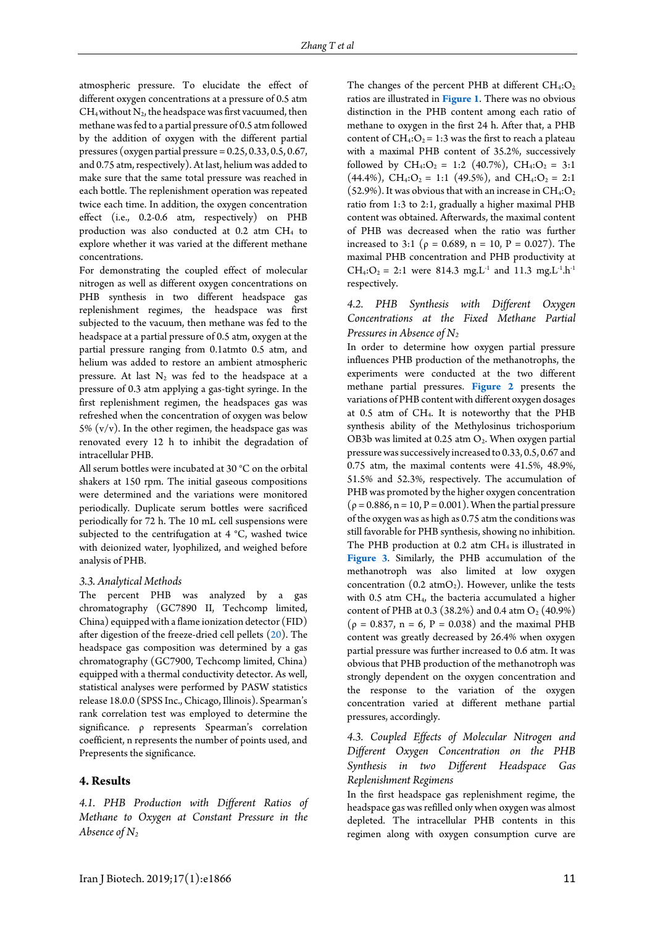atmospheric pressure. To elucidate the effect of different oxygen concentrations at a pressure of 0.5 atm  $CH_4$  without  $N_2$ , the headspace was first vacuumed, then methane was fed to a partial pressure of 0.5 atm followed by the addition of oxygen with the different partial pressures (oxygen partial pressure  $= 0.25, 0.33, 0.5, 0.67,$ and 0.75 atm, respectively). At last, helium was added to make sure that the same total pressure was reached in each bottle. The replenishment operation was repeated twice each time. In addition, the oxygen concentration effect (i.e., 0.2-0.6 atm, respectively) on PHB production was also conducted at 0.2 atm CH4 to explore whether it was varied at the different methane concentrations.

For demonstrating the coupled effect of molecular nitrogen as well as different oxygen concentrations on PHB synthesis in two different headspace gas replenishment regimes, the headspace was first subjected to the vacuum, then methane was fed to the headspace at a partial pressure of 0.5 atm, oxygen at the partial pressure ranging from 0.1atmto 0.5 atm, and helium was added to restore an ambient atmospheric pressure. At last  $N_2$  was fed to the headspace at a pressure of 0.3 atm applying a gas-tight syringe. In the first replenishment regimen, the headspaces gas was refreshed when the concentration of oxygen was below 5%  $(v/v)$ . In the other regimen, the headspace gas was renovated every 12 h to inhibit the degradation of intracellular PHB.

All serum bottles were incubated at 30 °C on the orbital shakers at 150 rpm. The initial gaseous compositions were determined and the variations were monitored periodically. Duplicate serum bottles were sacrificed periodically for 72 h. The 10 mL cell suspensions were subjected to the centrifugation at 4 °C, washed twice with deionized water, lyophilized, and weighed before analysis of PHB.

## *3.3. Analytical Methods*

The percent PHB was analyzed by a gas chromatography (GC7890 II, Techcomp limited, China) equipped with a flame ionization detector (FID) after digestion of the freeze-dried cell pellets  $(20)$ . The headspace gas composition was determined by a gas chromatography (GC7900, Techcomp limited, China) equipped with a thermal conductivity detector. As well, statistical analyses were performed by PASW statistics release 18.0.0 (SPSS Inc., Chicago, Illinois). Spearman's rank correlation test was employed to determine the significance. ρ represents Spearman's correlation coefficient, n represents the number of points used, and Prepresents the significance.

### **4. Results**

*4.1. PHB Production with Different Ratios of Methane to Oxygen at Constant Pressure in the Absence of N<sup>2</sup>*

The changes of the percent PHB at different  $CH_4:O_2$ ratios are illustrated in **[Figure 1](#page-3-0)**. There was no obvious distinction in the PHB content among each ratio of methane to oxygen in the first 24 h. After that, a PHB content of  $CH_4:O_2 = 1:3$  was the first to reach a plateau with a maximal PHB content of 35.2%, successively followed by  $CH_4:O_2 = 1:2$  (40.7%),  $CH_4:O_2 = 3:1$  $(44.4\%)$ , CH<sub>4</sub>:O<sub>2</sub> = 1:1 (49.5%), and CH<sub>4</sub>:O<sub>2</sub> = 2:1 (52.9%). It was obvious that with an increase in  $CH_4:O_2$ ratio from 1:3 to 2:1, gradually a higher maximal PHB content was obtained. Afterwards, the maximal content of PHB was decreased when the ratio was further increased to 3:1 ( $\rho = 0.689$ , n = 10, P = 0.027). The maximal PHB concentration and PHB productivity at  $CH_4:O_2 = 2:1$  were 814.3 mg.L<sup>-1</sup> and 11.3 mg.L<sup>-1</sup>.h<sup>-1</sup> respectively.

# *4.2. PHB Synthesis with Different Oxygen Concentrations at the Fixed Methane Partial Pressures in Absence of N<sup>2</sup>*

In order to determine how oxygen partial pressure influences PHB production of the methanotrophs, the experiments were conducted at the two different methane partial pressures. **[Figure 2](#page-3-1)** presents the variations of PHB content with different oxygen dosages at 0.5 atm of CH4. It is noteworthy that the PHB synthesis ability of the Methylosinus trichosporium OB3b was limited at  $0.25$  atm  $O_2$ . When oxygen partial pressure was successively increased to 0.33, 0.5, 0.67 and 0.75 atm, the maximal contents were 41.5%, 48.9%, 51.5% and 52.3%, respectively. The accumulation of PHB was promoted by the higher oxygen concentration  $(p = 0.886, n = 10, P = 0.001)$ . When the partial pressure of the oxygen was as high as 0.75 atm the conditions was still favorable for PHB synthesis, showing no inhibition. The PHB production at  $0.2$  atm CH<sub>4</sub> is illustrated in **[Figure 3](#page-3-2)**. Similarly, the PHB accumulation of the methanotroph was also limited at low oxygen concentration (0.2  $atmO<sub>2</sub>$ ). However, unlike the tests with 0.5 atm CH4, the bacteria accumulated a higher content of PHB at 0.3 (38.2%) and 0.4 atm  $O_2$  (40.9%)  $(p = 0.837, n = 6, P = 0.038)$  and the maximal PHB content was greatly decreased by 26.4% when oxygen partial pressure was further increased to 0.6 atm. It was obvious that PHB production of the methanotroph was strongly dependent on the oxygen concentration and the response to the variation of the oxygen concentration varied at different methane partial pressures, accordingly.

*4.3. Coupled Effects of Molecular Nitrogen and Different Oxygen Concentration on the PHB Synthesis in two Different Headspace Gas Replenishment Regimens* 

In the first headspace gas replenishment regime, the headspace gas was refilled only when oxygen was almost depleted. The intracellular PHB contents in this regimen along with oxygen consumption curve are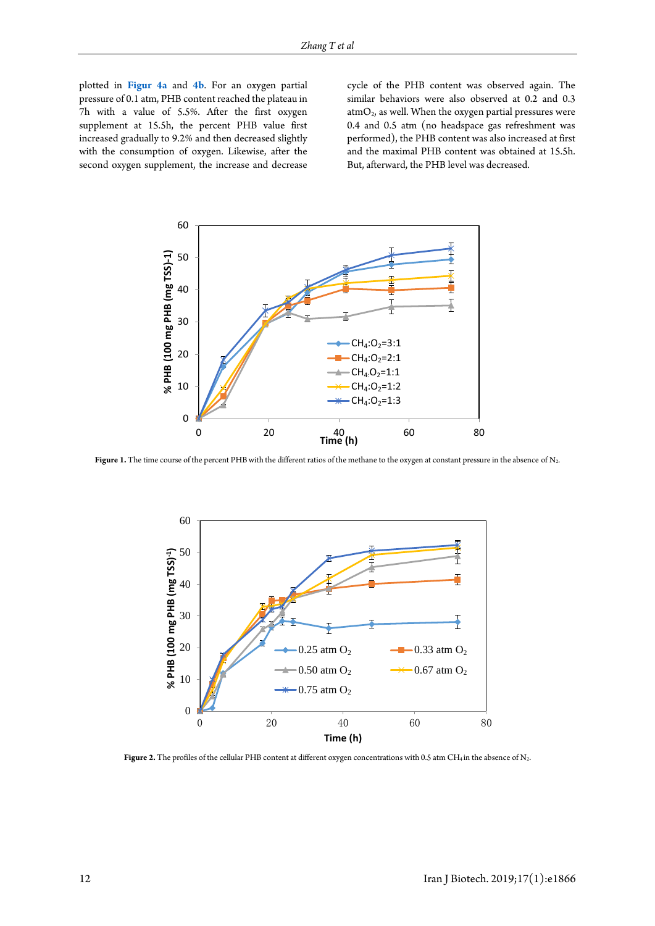plotted in **[Figur](#page-4-0) 4a** and **[4b](#page-4-0)**. For an oxygen partial pressure of 0.1 atm, PHB content reached the plateau in 7h with a value of 5.5%. After the first oxygen supplement at 15.5h, the percent PHB value first increased gradually to 9.2% and then decreased slightly with the consumption of oxygen. Likewise, after the second oxygen supplement, the increase and decrease

cycle of the PHB content was observed again. The similar behaviors were also observed at 0.2 and 0.3 atm $O_2$ , as well. When the oxygen partial pressures were 0.4 and 0.5 atm (no headspace gas refreshment was performed), the PHB content was also increased at first and the maximal PHB content was obtained at 15.5h. But, afterward, the PHB level was decreased.

<span id="page-3-0"></span>

<span id="page-3-1"></span>Figure 1. The time course of the percent PHB with the different ratios of the methane to the oxygen at constant pressure in the absence of N<sub>2</sub>.



<span id="page-3-2"></span>Figure 2. The profiles of the cellular PHB content at different oxygen concentrations with 0.5 atm CH<sub>4</sub> in the absence of N<sub>2</sub>.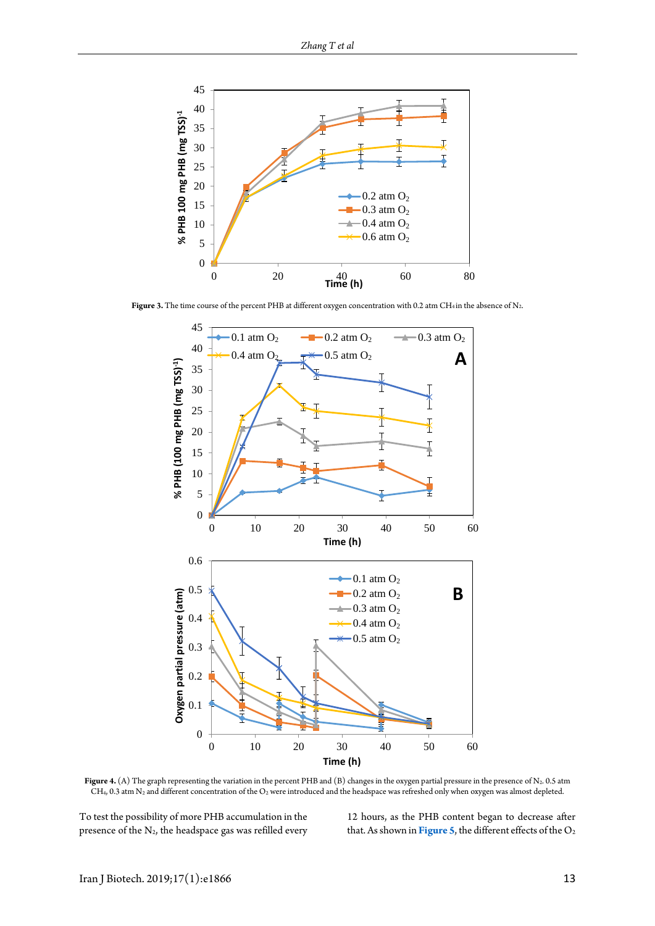

<span id="page-4-0"></span>Figure 3. The time course of the percent PHB at different oxygen concentration with 0.2 atm CH<sub>4</sub> in the absence of N<sub>2</sub>.



Figure 4. (A) The graph representing the variation in the percent PHB and (B) changes in the oxygen partial pressure in the presence of N<sub>2</sub>. 0.5 atm  $CH<sub>4</sub>$ , 0.3 atm N<sub>2</sub> and different concentration of the O<sub>2</sub> were introduced and the headspace was refreshed only when oxygen was almost depleted.

To test the possibility of more PHB accumulation in the presence of the  $N_2$ , the headspace gas was refilled every 12 hours, as the PHB content began to decrease after that. As shown in **[Figure 5](#page-5-0)**, the different effects of the  $O_2$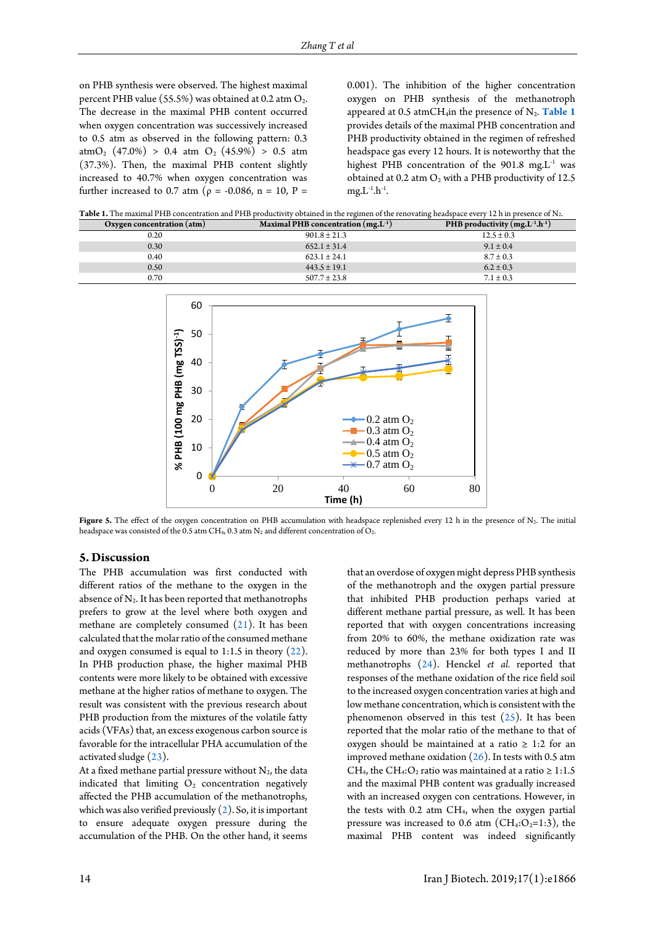on PHB synthesis were observed. The highest maximal percent PHB value (55.5%) was obtained at 0.2 atm O<sub>2</sub>. The decrease in the maximal PHB content occurred when oxygen concentration was successively increased to 0.5 atm as observed in the following pattern: 0.3 atm $O_2$  (47.0%) > 0.4 atm  $O_2$  (45.9%) > 0.5 atm (37.3%). Then, the maximal PHB content slightly increased to 40.7% when oxygen concentration was further increased to 0.7 atm ( $\rho = -0.086$ , n = 10, P =

0.001). The inhibition of the higher concentration oxygen on PHB synthesis of the methanotroph appeared at 0.5 atmCH<sub>4</sub>in the presence of N<sub>2</sub>. [Table 1](#page-5-1) provides details of the maximal PHB concentration and PHB productivity obtained in the regimen of refreshed headspace gas every 12 hours. It is noteworthy that the highest PHB concentration of the 901.8 mg. $L^{-1}$  was obtained at 0.2 atm  $O_2$  with a PHB productivity of 12.5  $mg.L^{-1}.h^{-1}.$ 

<span id="page-5-1"></span>

| Table 1. The maximal PHB concentration and PHB productivity obtained in the regimen of the renovating headspace every 12 h in presence of N <sub>2</sub> . |  |  |
|------------------------------------------------------------------------------------------------------------------------------------------------------------|--|--|
|                                                                                                                                                            |  |  |

<span id="page-5-0"></span>

| Oxygen concentration (atm) | Maximal PHB concentration $(mg.L^{-1})$ | PHB productivity $(mg.L^{-1}.h^{-1})$ |
|----------------------------|-----------------------------------------|---------------------------------------|
| 0.20                       | $901.8 \pm 21.3$                        | $12.5 \pm 0.3$                        |
| 0.30                       | $652.1 \pm 31.4$                        | $9.1 \pm 0.4$                         |
| 0.40                       | $623.1 \pm 24.1$                        | $8.7 \pm 0.3$                         |
| 0.50                       | $443.5 \pm 19.1$                        | $6.2 \pm 0.3$                         |
| 0.70                       | $507.7 \pm 23.8$                        | $7.1 \pm 0.3$                         |



Figure 5. The effect of the oxygen concentration on PHB accumulation with headspace replenished every 12 h in the presence of N<sub>2</sub>. The initial headspace was consisted of the 0.5 atm CH<sub>4</sub>, 0.3 atm  $N_2$  and different concentration of  $O_2$ .

#### **5. Discussion**

The PHB accumulation was first conducted with different ratios of the methane to the oxygen in the absence of  $N_2$ . It has been reported that methanotrophs prefers to grow at the level where both oxygen and methane are completely consumed [\(21\)](#page-7-12). It has been calculated that the molar ratio of the consumed methane and oxygen consumed is equal to 1:1.5 in theory [\(22\)](#page-7-13). In PHB production phase, the higher maximal PHB contents were more likely to be obtained with excessive methane at the higher ratios of methane to oxygen. The result was consistent with the previous research about PHB production from the mixtures of the volatile fatty acids (VFAs) that, an excess exogenous carbon source is favorable for the intracellular PHA accumulation of the activated sludge [\(23\)](#page-7-14).

At a fixed methane partial pressure without  $N_2$ , the data indicated that limiting  $O<sub>2</sub>$  concentration negatively affected the PHB accumulation of the methanotrophs, which was also verified previously  $(2)$ . So, it is important to ensure adequate oxygen pressure during the accumulation of the PHB. On the other hand, it seems

that an overdose of oxygen might depress PHB synthesis of the methanotroph and the oxygen partial pressure that inhibited PHB production perhaps varied at different methane partial pressure, as well. It has been reported that with oxygen concentrations increasing from 20% to 60%, the methane oxidization rate was reduced by more than 23% for both types I and II methanotrophs [\(24\)](#page-7-15). Henckel *et al.* reported that responses of the methane oxidation of the rice field soil to the increased oxygen concentration varies at high and low methane concentration, which is consistent with the phenomenon observed in this test [\(25\)](#page-7-16). It has been reported that the molar ratio of the methane to that of oxygen should be maintained at a ratio  $\geq 1:2$  for an improved methane oxidation  $(26)$ . In tests with 0.5 atm CH<sub>4</sub>, the CH<sub>4</sub>: O<sub>2</sub> ratio was maintained at a ratio  $\geq 1:1.5$ and the maximal PHB content was gradually increased with an increased oxygen con centrations. However, in the tests with  $0.2$  atm  $CH<sub>4</sub>$ , when the oxygen partial pressure was increased to 0.6 atm ( $CH_4:O_2=1:3$ ), the maximal PHB content was indeed significantly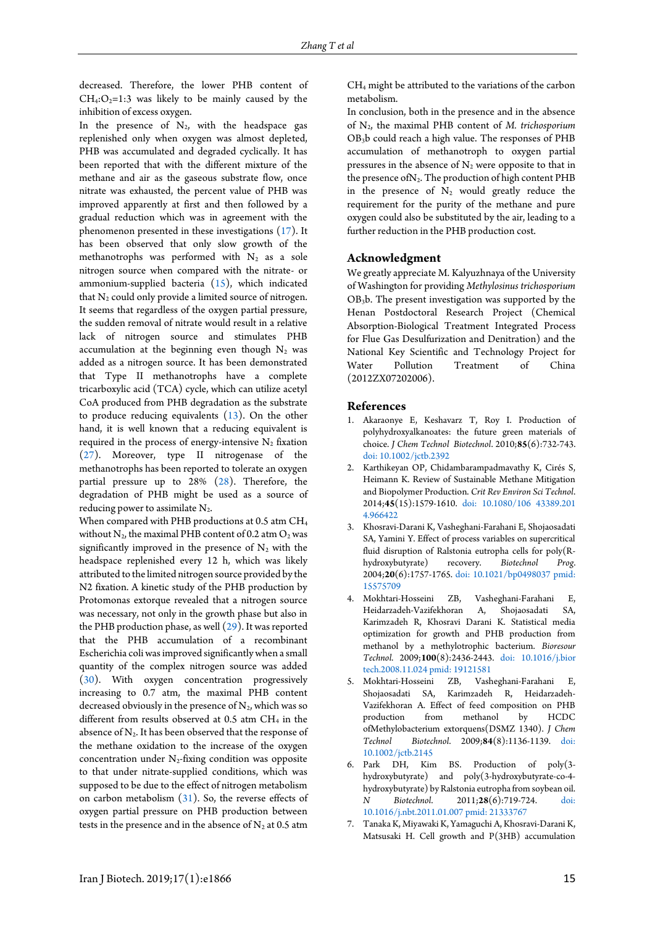decreased. Therefore, the lower PHB content of  $CH_4:O_2=1:3$  was likely to be mainly caused by the inhibition of excess oxygen.

In the presence of  $N_2$ , with the headspace gas replenished only when oxygen was almost depleted, PHB was accumulated and degraded cyclically. It has been reported that with the different mixture of the methane and air as the gaseous substrate flow, once nitrate was exhausted, the percent value of PHB was improved apparently at first and then followed by a gradual reduction which was in agreement with the phenomenon presented in these investigations [\(17\)](#page-7-9). It has been observed that only slow growth of the methanotrophs was performed with  $N_2$  as a sole nitrogen source when compared with the nitrate- or ammonium-supplied bacteria [\(15\)](#page-7-7), which indicated that  $N_2$  could only provide a limited source of nitrogen. It seems that regardless of the oxygen partial pressure, the sudden removal of nitrate would result in a relative lack of nitrogen source and stimulates PHB accumulation at the beginning even though  $N_2$  was added as a nitrogen source. It has been demonstrated that Type II methanotrophs have a complete tricarboxylic acid (TCA) cycle, which can utilize acetyl CoA produced from PHB degradation as the substrate to produce reducing equivalents [\(13\)](#page-7-5). On the other hand, it is well known that a reducing equivalent is required in the process of energy-intensive  $N_2$  fixation [\(27\)](#page-7-18). Moreover, type II nitrogenase of the methanotrophs has been reported to tolerate an oxygen partial pressure up to 28% [\(28\)](#page-7-19). Therefore, the degradation of PHB might be used as a source of reducing power to assimilate  $N_2$ .

When compared with PHB productions at 0.5 atm CH<sub>4</sub> without  $N_2$ , the maximal PHB content of 0.2 atm  $O_2$  was significantly improved in the presence of  $N_2$  with the headspace replenished every 12 h, which was likely attributed to the limited nitrogen source provided by the N2 fixation. A kinetic study of the PHB production by Protomonas extorque revealed that a nitrogen source was necessary, not only in the growth phase but also in the PHB production phase, as well [\(29\)](#page-7-20). It was reported that the PHB accumulation of a recombinant Escherichia coli was improved significantly when a small quantity of the complex nitrogen source was added [\(30\)](#page-7-21). With oxygen concentration progressively increasing to 0.7 atm, the maximal PHB content decreased obviously in the presence of  $N_2$ , which was so different from results observed at  $0.5$  atm  $CH<sub>4</sub>$  in the absence of  $N_2$ . It has been observed that the response of the methane oxidation to the increase of the oxygen concentration under  $N_2$ -fixing condition was opposite to that under nitrate-supplied conditions, which was supposed to be due to the effect of nitrogen metabolism on carbon metabolism [\(31\)](#page-7-22). So, the reverse effects of oxygen partial pressure on PHB production between tests in the presence and in the absence of  $N_2$  at 0.5 atm

CH4 might be attributed to the variations of the carbon metabolism.

In conclusion, both in the presence and in the absence of N2, the maximal PHB content of *M. trichosporium* OB3b could reach a high value. The responses of PHB accumulation of methanotroph to oxygen partial pressures in the absence of  $N_2$  were opposite to that in the presence of N<sub>2</sub>. The production of high content PHB in the presence of  $N_2$  would greatly reduce the requirement for the purity of the methane and pure oxygen could also be substituted by the air, leading to a further reduction in the PHB production cost.

## **Acknowledgment**

We greatly appreciate M. Kalyuzhnaya of the University of Washington for providing *Methylosinus trichosporium* OB3b. The present investigation was supported by the Henan Postdoctoral Research Project (Chemical Absorption-Biological Treatment Integrated Process for Flue Gas Desulfurization and Denitration) and the National Key Scientific and Technology Project for Water Pollution Treatment of China (2012ZX07202006).

#### **References**

- <span id="page-6-0"></span>1. Akaraonye E, Keshavarz T, Roy I. Production of polyhydroxyalkanoates: the future green materials of choice. *J Chem Technol Biotechnol*. 2010;**85**(6):732-743. [doi: 10.1002/jctb.2392](http://dx.doi.org/10.1002/jctb.2392)
- <span id="page-6-1"></span>2. Karthikeyan OP, Chidambarampadmavathy K, Cirés S, Heimann K. Review of Sustainable Methane Mitigation and Biopolymer Production. *Crit Rev Environ Sci Technol*. 2014;**45**(15):1579-1610. [doi: 10.1080/106 43389.201](http://dx.doi.org/10.1080/10643389.2014.966422)  [4.966422](http://dx.doi.org/10.1080/10643389.2014.966422)
- <span id="page-6-2"></span>3. Khosravi-Darani K, Vasheghani-Farahani E, Shojaosadati SA, Yamini Y. Effect of process variables on supercritical fluid disruption of Ralstonia eutropha cells for poly(R-<br>hydroxybutyrate) recovery. Biotechnol Prog. hydroxybutyrate) recovery. *Biotechnol* 2004;**20**(6):1757-1765. [doi: 10.1021/bp0498037](http://dx.doi.org/10.1021/bp0498037) [pmid:](www.ncbi.nlm.nih.gov/pubmed/15575709)  [15575709](www.ncbi.nlm.nih.gov/pubmed/15575709)
- 4. Mokhtari-Hosseini ZB, Vasheghani-Farahani E, Heidarzadeh-Vazifekhoran A, Shojaosadati SA, Karimzadeh R, Khosravi Darani K. Statistical media optimization for growth and PHB production from methanol by a methylotrophic bacterium. *Bioresour Technol*. 2009;**100**(8):2436-2443. [doi: 10.1016/j.bior](http://dx.doi.org/10.1016/j.biortech.2008.11.024)  [tech.2008.11.024](http://dx.doi.org/10.1016/j.biortech.2008.11.024) [pmid: 19121581](www.ncbi.nlm.nih.gov/pubmed/19121581)
- 5. Mokhtari-Hosseini ZB, Vasheghani-Farahani E, Shojaosadati SA, Karimzadeh R, Heidarzadeh-Vazifekhoran A. Effect of feed composition on PHB production from methanol by ofMethylobacterium extorquens(DSMZ 1340). *J Chem Technol Biotechnol*. 2009;**84**(8):1136-1139. [doi:](http://dx.doi.org/10.1002/jctb.2145)  [10.1002/jctb.2145](http://dx.doi.org/10.1002/jctb.2145)
- 6. Park DH, Kim BS. Production of poly(3 hydroxybutyrate) and poly(3-hydroxybutyrate-co-4 hydroxybutyrate) by Ralstonia eutropha from soybean oil. *N Biotechnol*. 2011;**28**(6):719-724. [doi:](http://dx.doi.org/10.1016/j.nbt.2011.01.007)  [10.1016/j.nbt.2011.01.007](http://dx.doi.org/10.1016/j.nbt.2011.01.007) [pmid: 21333767](www.ncbi.nlm.nih.gov/pubmed/21333767)
- 7. Tanaka K, Miyawaki K, Yamaguchi A, Khosravi-Darani K, Matsusaki H. Cell growth and P(3HB) accumulation